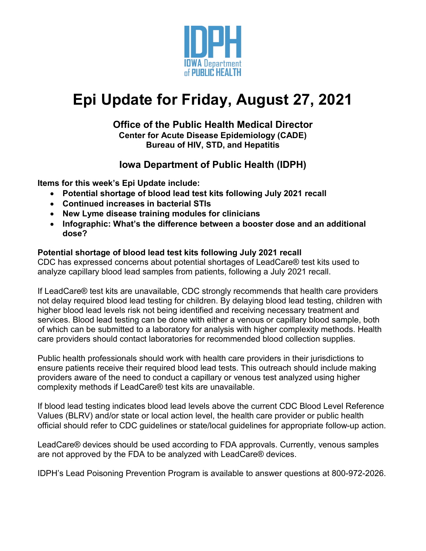

# **Epi Update for Friday, August 27, 2021**

#### **Office of the Public Health Medical Director Center for Acute Disease Epidemiology (CADE) Bureau of HIV, STD, and Hepatitis**

## **Iowa Department of Public Health (IDPH)**

**Items for this week's Epi Update include:**

- **Potential shortage of blood lead test kits following July 2021 recall**
- **Continued increases in bacterial STIs**
- **New Lyme disease training modules for clinicians**
- **Infographic: What's the difference between a booster dose and an additional dose?**

#### **Potential shortage of blood lead test kits following July 2021 recall**

CDC has expressed concerns about potential shortages of LeadCare® test kits used to analyze capillary blood lead samples from patients, following a July 2021 recall.

If LeadCare® test kits are unavailable, CDC strongly recommends that health care providers not delay required blood lead testing for children. By delaying blood lead testing, children with higher blood lead levels risk not being identified and receiving necessary treatment and services. Blood lead testing can be done with either a venous or capillary blood sample, both of which can be submitted to a laboratory for analysis with higher complexity methods. Health care providers should contact laboratories for recommended blood collection supplies.

Public health professionals should work with health care providers in their jurisdictions to ensure patients receive their required blood lead tests. This outreach should include making providers aware of the need to conduct a capillary or venous test analyzed using higher complexity methods if LeadCare® test kits are unavailable.

If blood lead testing indicates blood lead levels above the current CDC Blood Level Reference Values (BLRV) and/or state or local action level, the health care provider or public health official should refer to CDC guidelines or state/local guidelines for appropriate follow-up action.

LeadCare® devices should be used according to FDA approvals. Currently, venous samples are not approved by the FDA to be analyzed with LeadCare® devices.

IDPH's Lead Poisoning Prevention Program is available to answer questions at 800-972-2026.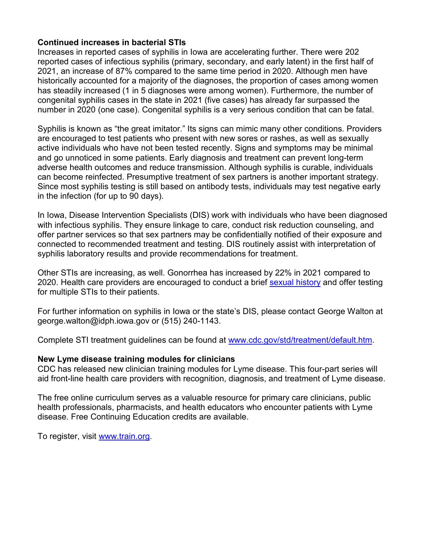#### **Continued increases in bacterial STIs**

Increases in reported cases of syphilis in Iowa are accelerating further. There were 202 reported cases of infectious syphilis (primary, secondary, and early latent) in the first half of 2021, an increase of 87% compared to the same time period in 2020. Although men have historically accounted for a majority of the diagnoses, the proportion of cases among women has steadily increased (1 in 5 diagnoses were among women). Furthermore, the number of congenital syphilis cases in the state in 2021 (five cases) has already far surpassed the number in 2020 (one case). Congenital syphilis is a very serious condition that can be fatal.

Syphilis is known as "the great imitator." Its signs can mimic many other conditions. Providers are encouraged to test patients who present with new sores or rashes, as well as sexually active individuals who have not been tested recently. Signs and symptoms may be minimal and go unnoticed in some patients. Early diagnosis and treatment can prevent long-term adverse health outcomes and reduce transmission. Although syphilis is curable, individuals can become reinfected. Presumptive treatment of sex partners is another important strategy. Since most syphilis testing is still based on antibody tests, individuals may test negative early in the infection (for up to 90 days).

In Iowa, Disease Intervention Specialists (DIS) work with individuals who have been diagnosed with infectious syphilis. They ensure linkage to care, conduct risk reduction counseling, and offer partner services so that sex partners may be confidentially notified of their exposure and connected to recommended treatment and testing. DIS routinely assist with interpretation of syphilis laboratory results and provide recommendations for treatment.

Other STIs are increasing, as well. Gonorrhea has increased by 22% in 2021 compared to 2020. Health care providers are encouraged to conduct a brief [sexual history](https://www.cdc.gov/std/treatment/sexualhistory.pdf) and offer testing for multiple STIs to their patients.

For further information on syphilis in Iowa or the state's DIS, please contact George Walton at george.walton@idph.iowa.gov or (515) 240-1143.

Complete STI treatment guidelines can be found at [www.cdc.gov/std/treatment/default.htm.](http://www.cdc.gov/std/treatment/default.htm)

#### **New Lyme disease training modules for clinicians**

CDC has released new clinician training modules for Lyme disease. This four-part series will aid front-line health care providers with recognition, diagnosis, and treatment of Lyme disease.

The free online curriculum serves as a valuable resource for primary care clinicians, public health professionals, pharmacists, and health educators who encounter patients with Lyme disease. Free Continuing Education credits are available.

To register, visit [www.train.org.](http://www.train.org/)